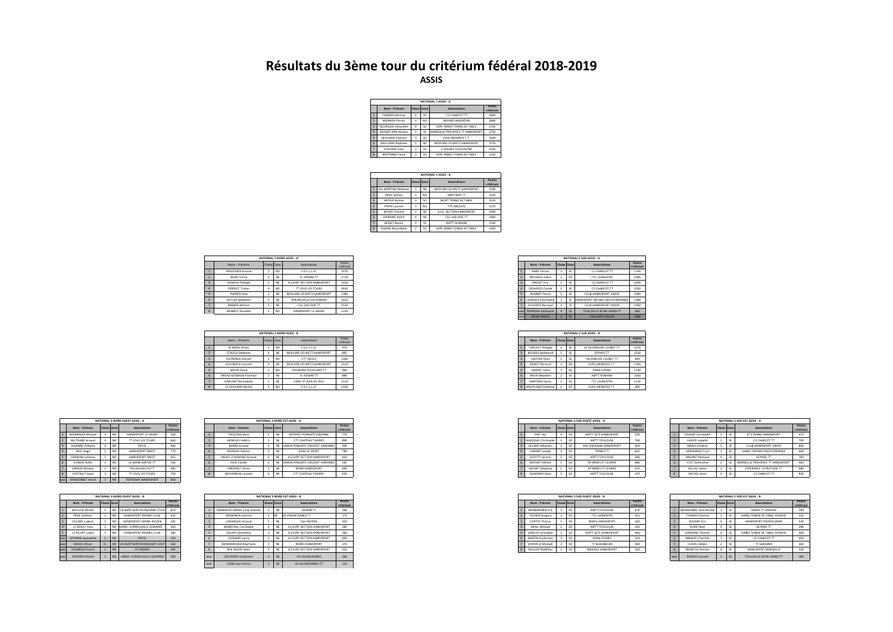## **Résultats du 3ème tour du critérium fédéral 2018-2019 ASSIS**

|                          |                           |              |                 | NATIONAL 1 ASSIS - A             |                     |
|--------------------------|---------------------------|--------------|-----------------|----------------------------------|---------------------|
|                          | Nom - Prénom              | Classe Zone  |                 | <b>Associations</b>              | Points<br>critérium |
|                          | THOMAS Maxime             | 4            | SF              | CS CHARCOT TT                    | 3000                |
| Þ                        | <b>MERRIEN Florian</b>    | 3            | NO              | <b>RAYARD ARGENTAN</b>           | 2800                |
| $\overline{z}$           | <b>DELARQUE Alexandre</b> | 4            | SO <sub>1</sub> | ASPC NIMES TENNIS DE TARLE       | 2760                |
|                          | SAVANT-AIRA Nicolas       | ×.           | SF              | MARSEILLE PROVENCE TT HANDISPORT | 2750                |
| $\overline{\phantom{a}}$ | <b>GEULIANS Francois</b>  | ä            | sn              | EVEIL MENDOIS T.T.               | 2560                |
| F.                       | MOLLIENS Stéphane         | <sup>2</sup> | <b>NF</b>       | MOULINS LES METZ HANDISPORT      | 2570                |
|                          | <b>GUILHEM Yann</b>       | ą            | SF              | O HYERES TOULON PM               | 2510                |
| ×                        | <b>BERTRAND Fanny</b>     | ä            | SO <sub>1</sub> | ASPC NIMES TENNIS DE TARI E      | 2220                |

|                          |                          |              |                 | NATIONAL 1 ASSIS - B        |                     |
|--------------------------|--------------------------|--------------|-----------------|-----------------------------|---------------------|
|                          | Nom - Prénom             | Classe Zone  |                 | Associations                | Points<br>critérium |
| ٦                        | GIL-MARTINS Stéphane     | 3            | <b>NF</b>       | MOULINS LES METZ HANDISPORT | 2540                |
| Þ                        | NOEL Sylvain             | 3            | NO              | AMO MER TT                  | 2520                |
| $\overline{\mathbf{3}}$  | <b>ANTIFR Nicolas</b>    | 3            | SO <sub>1</sub> | NIORT TENNIS DE TARLE       | 2150                |
| 4                        | <b>PAPIN Laurent</b>     | 3            | NO              | TTH ANGLOIS                 | 2270                |
| $\overline{\phantom{a}}$ | <b>BOURY Vincent</b>     | <sup>2</sup> | <b>NF</b>       | A S.F. SECTION HANDISPORT   | 2090                |
| 6                        | DAIRAINE André           | 4            | <b>NF</b>       | CGI SUD OISE TT             | 1960                |
| $\overline{z}$           | <b>BESSET Benoit</b>     | <sup>2</sup> | SE              | ASPTT ROMANS                | 2140                |
| R                        | <b>GHARBI Noureddine</b> | s            | SO <sub>1</sub> | ASPC NIMES TENNIS DE TARI E | 1950                |
|                          |                          |              |                 |                             |                     |

|                         |             |                 | NATIONAL 2 NORD ASSIS - A   |                     |
|-------------------------|-------------|-----------------|-----------------------------|---------------------|
| Noms - Prénoms          | Classe Zone |                 | Associations                | Points<br>critérium |
| KERGOSIEN Arnaud        |             | I NO            | F.O.L.C.L.O.                | 1670                |
| ADJAL Yorick            |             | NE              | A. VOISINS TT               | 1710                |
| DURIEUX Philippe        |             | NE              | A.S.EVRY SECTION HANDISPORT | 1620                |
| PIERROT Tristan         |             | NO <sub>1</sub> | TT JOUE LES TOURS           | 1810                |
| PAPIRER Alan            |             | NE              | MOULINS LES METZ HANDISPORT | 1380                |
| <b>RUTLER Sébastien</b> |             | NE              | PPN NEUVILLE EN FERRAIN     | 1620                |
| MANIER William          |             | NE              | CGL SUD OISE TT             | 1530                |
| <b>BONNOT Annaelle</b>  |             | NO <sub>1</sub> | HANDISPORT LE HAVRE         | 1310                |

|                          |             |     | NATIONAL 2 NORD ASSIS - B   |                     |
|--------------------------|-------------|-----|-----------------------------|---------------------|
| Noms - Prénoms           | Classe Zone |     | Associations                | Points<br>critérium |
| LE MOAL Bruno            |             | NO. | F.O.L.C.L.O.                | 970                 |
| STAUCH Stéphane          |             | NE  | MOULINS LES METZ HANDISPORT | 895                 |
| DEFRENEIX Samuel         |             | NO. | CTT DEOLS                   | 1360                |
| <b>GOLLNISCH Laurent</b> |             | NE  | MOULINS LES METZ HANDISPORT | 1310                |
| MELIN David              |             | NO. | THORIGNE-FOUILLARD TT       | 940                 |
| SIREAU GOSSIAUX Florence |             | NE  | A. VOISINS TT               | 880                 |
| DARVANT Bernadette       |             | NE  | CSINI ST JEAN DE DIEU       | 1110                |
| LE BOULBAR Michel        |             | NO. | F.O.L.C.L.O.                | 1120                |

|                          |                          |                         |                 | NATIONAL 3 NORD OUEST ASSIS - A |                     |
|--------------------------|--------------------------|-------------------------|-----------------|---------------------------------|---------------------|
|                          | Nom - Prénom             | <b>Classe Zone</b>      |                 | Associations                    | Points<br>critérium |
|                          | <b>RERRANGER Mickael</b> | ۵                       | NO              | HANDISPORT IF HAVRE             | 590                 |
| Þ                        | <b>REITRAND Arnaud</b>   | ۵                       | NO              | TT IOUE LES TOURS               | 660                 |
| R                        | SUZANNE Thibault         | ۵                       | NO              | <b>PPCSS</b>                    | 940                 |
| ×                        | NOU Hugo                 | 5                       | NO              | HANDISPORT RREST                | 770                 |
| $\overline{\phantom{a}}$ | <b>FRRAHIRLIahsene</b>   | s                       | NO              | HANDISPORT RREST                | 415                 |
| f.                       | DUROIS Gilles            | 3                       | NO              | <b>IF MANS SARTHE TT</b>        | 760                 |
|                          | <b>GIRALID Mickael</b>   | $\overline{\mathbf{z}}$ | NO              | POUZAUGES ACTT                  | 680                 |
| $\mathbf{R}$             | <b>CARTAULT Anals</b>    | $\overline{\mathbf{3}}$ | NO              | <b>TT JOUE LES TOURS</b>        | 700                 |
| wne                      | MASSONNET Hervé          |                         | NO <sub>1</sub> | FONTENAY HANDISPORT             | 450                 |

|                |                       |                |                 | NATIONAL 3 NORD OUFST ASSIS - R |                     |
|----------------|-----------------------|----------------|-----------------|---------------------------------|---------------------|
|                | Nom - Prénom          | Classe Zone    |                 | Associations                    | Points<br>critérium |
|                | <b>BOILLOD Michel</b> | s              | NO              | US SAINT BERTHEVIN/SAINT LOUP   | 610                 |
| $\overline{ }$ | <b>FRISE Guilhem</b>  | 5              | NO              | HANDISPORT RENNES CLUB          | 435                 |
| $\overline{z}$ | COLARD Ludovic        | s              | NO              | HANDISPORT GRAND ROUEN.         | 345                 |
| л              | LE RESCO Vann         | s              | NO              | HANDI, CORNOUAILLE QUIMPER      | 450                 |
| s,             | LE PICART Livdie      | s,             | NO              | HANDISPORT RENNES CLUB          | 380                 |
| woe            | SERENNE Jacqueline    | 5              | N <sub>O</sub>  | <b>PPCSS</b>                    | 220                 |
| woe            | <b>GRUDE Olivier</b>  | EC             | NO <sub>1</sub> | US SAINT BERTHEVIN/SAINT LOUP   | 160                 |
| woe            | DEVINEAU Franck       | $\overline{z}$ | NO <sub>1</sub> | CP AIZENAY                      | 395                 |
| woe            | ROSPARS Michel        | ۵              | NO              | HANDI, CORNOUAILLE QUIMPER.     | 300                 |

|                          |               | NATIONAL 3 NORD OUEST ASSIS - A |       |  |                          |  | NATIONAL 3 NORD EST ASSIS - A      |                     |                         |  | NATIONAL 3 SUD OUEST ASSIS - A |        |
|--------------------------|---------------|---------------------------------|-------|--|--------------------------|--|------------------------------------|---------------------|-------------------------|--|--------------------------------|--------|
| Nom - Prénom             | Classe Zo     | Associations                    | Point |  | Nom - Prénom             |  | Association                        | Points<br>critériun | Nom - Prénom            |  | Associations                   | Points |
| <b>BERRANGER Mickael</b> |               | HANDISPORT LE HAVRE             |       |  | <b>TROLONG Alain</b>     |  | ENTENTE PONGISTE ISSEENNE          | 770                 | PIAT Léo                |  | ASPTT SETE HANDISPORT          | 590    |
| BELTRAND Arnaud          |               | TT JOUE LES TOURS               |       |  | HENOUX Frédéric          |  | CTT CHATEAU THIERRY                | 890                 | 2 MAZUQUE Christophe    |  | ASPTT TOULOUSE                 |        |
| SUZANNE Thibault         |               | PPCSS                           |       |  | <b>BUARD Arnaud</b>      |  | NE UNION PONGISTE CREUSOT VARENNES | 930                 | <b>GELARD Sébastien</b> |  | MJC GRUISSAN HANDISPORT        | 820    |
| NOU Hugo                 |               | HANDISPORT BREST                |       |  | MOREAU Fabrice           |  | JEHM LE SPORT                      | 780                 | HARANT Joseph           |  | TREBES TT                      |        |
| <b>ERRAHIBI Lahsene</b>  |               | HANDISPORT BREST                |       |  | MERLE D'AUBIGNE Arnaud   |  | A.S.EVRY SECTION HANDISPORT        | 430                 | DEZOTTI Jérome          |  | ASPTT TOULOUSE                 | 690    |
| DUBOIS Gilles            |               | LE MANS SARTHE TT               |       |  | JOUX Claude              |  | UNION PONGISTE CREUSOT VARENNES    | 565                 | <b>BROUAT Michel</b>    |  | AP NIMES ST CESAIRE            | 880    |
| GIRAUD Mickael           |               | POUZAUGES ACTT                  |       |  | PARZYBUT Simon           |  | <b>REIMS HANDISPORT</b>            | 690                 | MODAT Stéphane          |  | AP NIMES ST CESAIRE            | 670    |
| CARTAULT Anals           |               | <b>TT JOUE LES TOURS</b>        |       |  | <b>MOUZANUIK Laurent</b> |  | CTT CHATEAU THIERRY                | 650                 | <b>GUIMARES Ryan</b>    |  | ASPTT TOULOUSE                 | 470    |
| <b>ALACCOMMUT Home</b>   | $\sim$ $\sim$ | CONTENIAV UANDICADET            |       |  |                          |  |                                    |                     |                         |  |                                |        |

|                       |                 | NATIONAL 3 NORD OUEST ASSIS - B    |        |     |                              | NATIONAL 3 NORD EST ASSIS - B |                     |                          | NATIONAL 3 SUD OUEST ASSIS - B |                   |
|-----------------------|-----------------|------------------------------------|--------|-----|------------------------------|-------------------------------|---------------------|--------------------------|--------------------------------|-------------------|
| Nom - Prénom          |                 | <b>Associations</b>                | Points |     | Nom - Prénom                 | Associations                  | Points<br>critériur | Nom - Prénom             | <b>Associations</b>            | Points            |
| <b>BOILLOD Michel</b> |                 | US SAINT BERTHEVIN/SAINT LOU       |        |     | HAMDAOUI-MAIRE Louis-Isamael | VOISINS TT                    | 190                 | MONGRENIER Eri           | ASPTT TOULOUSE                 |                   |
| FRISE Guilhem         |                 | HANDISPORT RENNES CLUB             |        |     | <b>MASSINON Laurent</b>      | <b>SVALENCIENNES TT</b>       | 175                 | <b>TACHEN Gregory</b>    | <b>TTC LAURENTIN</b>           | 415               |
| COLARD Ludovic        |                 | HANDISPORT GRAND ROUEN             |        |     | LASFARGUE Arnaud             | Elan NEVERS                   | 320                 | <b>CORTES Thierry</b>    | NIMES HANDISPORT               | <b>STATISTICS</b> |
| LE BESCO Yann         |                 | O HANDI, CORNOUAILLE QUIMPER       | 450    |     | MARECHAL Christophe          | A.S.EVRY SECTION HANDISPORT   | 280                 | <b>GRALL Mickael</b>     | ASPTT TOULOUSE                 |                   |
| LE PICART Livdie      |                 | HANDISPORT RENNES CLUB             | 380    |     | <b>FLEURY Geneviève</b>      | A.S.EVRY SECTION HANDISPORT   | 360                 | <b>GARCIA Christophe</b> | ASPTT SETE HANDISPORT          |                   |
| SERENNE Jacqueline    |                 | <b>PPCSS</b>                       | 220    |     | LEONARD Laura                | A.S.EVRY SECTION HANDISPORT   | 600                 | MARTIN Guillaume         | PANA-LOISIRS                   |                   |
| <b>GRUDE Olivier</b>  |                 | EC NO US SAINT BERTHEVIN/SAINT LOU |        |     | BENHAMOUDA Bourhane          | REIMS HANDISPORT              | 270                 | SOMVILLE Mickael         | TT BLAGNACAIS                  |                   |
| DEVINEAU Franck       | NO <sub>1</sub> | CP AIZENAY                         |        |     | BEN SALEM Saber              | A.S.EVRY SECTION HANDISPORT   | 250                 | <b>MULLER Matthleu</b>   | AMICALE HANDISPORT             |                   |
| ROSPARS Michel        |                 | NO HANDI. CORNOUAILLE QUIMPER      | 300    | wne | <b>DELFORGE Guillaume</b>    | <b>US VALENCIENNES</b>        | 260                 |                          |                                |                   |
|                       |                 |                                    |        |     | LESNE Jean-Pierre            | <b>US VALENCIENNES TT</b>     | 150                 |                          |                                |                   |

|  |     |                        |                |           | NATIONAL 2 SUD ASSIS - A         |                     |
|--|-----|------------------------|----------------|-----------|----------------------------------|---------------------|
|  |     | Nom - Prénom           | Classe Zone    |           | <b>Associations</b>              | Points<br>critérium |
|  |     | PAIRE Florian          | 3              | SE        | CS CHARCOT TT                    | 1740                |
|  |     | MICHAUD Julien         | $\overline{2}$ | SG        | TTC LAURENTIN                    | 1940                |
|  |     | <b>DREVET Eric</b>     | 5              | SE        | CS CHARCOT TT                    | 1630                |
|  |     | <b>DESHAYES Claude</b> | 5              | SE        | CS CHARCOT TT                    | 1350                |
|  |     | <b>BONNAT Pascal</b>   | s              | SE        | CLUB HANDISPORT AIXOIS           | 1490                |
|  |     | FERRIER Emmanuelle     | 3              | SE        | HANDISPORT ANTIBES MEDITERRANNEE | 1580                |
|  |     | OLIVEROS Bernard       |                | SE        | CLUB HANDISPORT AIXOIS           | 1060                |
|  |     | woel PEDRONA Guillaume |                | <b>SE</b> | TOULON LA SEYNE HANDI TT         | 960                 |
|  | woe | <b>MUHL Patrick</b>    |                | <b>SE</b> | VAILLANTE SALON                  | 1080                |

|  |                         |             |                 | NATIONAL 2 SUD ASSIS - B  |                     |
|--|-------------------------|-------------|-----------------|---------------------------|---------------------|
|  | Nom - Prénom            | Classe Zone |                 | <b>Associations</b>       | Points<br>critérium |
|  | <b>TURCHET Philippe</b> |             | SE              | ES VILLENEUVE LOUBET TT   | 1370                |
|  | <b>BOUSSIS Mohamed</b>  |             | SE              | SEYNOD TT                 | 1210                |
|  | VAUTIER Flora           |             | SE              | VILLENEUVE LOUBET TT      | 890                 |
|  | ZASSOT Bernard          |             | SO <sub>1</sub> | EVEIL MENDOIS T.T.        | 1290                |
|  | <b>LAUNAY Claire</b>    |             | SO <sub>1</sub> | PANA-LOISIRS              | 1130                |
|  | BRUN Sébastien          |             | SE              | ASPTT ROMANS              | 1030                |
|  | MARTINEZ Denis          |             | SO <sub>1</sub> | <b>TTC LAURENTIN</b>      | 1110                |
|  | 8 MAVOUNZA Delphine     |             | s               | <b>EVEIL MENDOIS T.T.</b> | 900                 |

|                     |    |                      |             |                 | NATIONAL 3 SUD OUEST ASSIS - A |                     |
|---------------------|----|----------------------|-------------|-----------------|--------------------------------|---------------------|
| Points<br>critérium |    | Nom - Prénom         | Classe Zone |                 | <b>Associations</b>            | Points<br>critérium |
| 770                 |    | PIAT Léo             | A           | sn<br>ж.        | ASPTT SETE HANDISPORT          | 590                 |
| 890                 |    | MAZUQUE Christophe   |             | SO <sub>1</sub> | ASPTT TOULOUSE                 | 760                 |
| 930                 |    | GELARD Sébastien     |             | SO <sub>1</sub> | MJC GRUISSAN HANDISPORT        | 820                 |
| 780                 |    | HARANT Joseph        | A           | SO <sub>1</sub> | TREBES TT                      | 665                 |
| 430                 |    | DEZOTTI Jérome       |             | SO <sub>1</sub> | ASPTT TOULOUSE                 | 690                 |
| 565                 |    | BROUAT Michel        |             | SO <sub>1</sub> | AP NIMES ST CESAIRE            | 880                 |
| 690                 |    | MODAT Stéphane       |             | SO <sub>1</sub> | AP NIMES ST CESAIRE            | 670                 |
| 650                 | 18 | <b>GUIMARES Ryan</b> | t           | SO <sub>1</sub> | ASPTT TOULOUSE                 | 470                 |

|                     |              |                        |             |    | NATIONAL 3 SUD FST ASSIS - A     |                     |
|---------------------|--------------|------------------------|-------------|----|----------------------------------|---------------------|
| Points<br>critérium |              | Nom - Prénom           | Classe Zone |    | <b>Associations</b>              | Points<br>critérium |
| 590                 |              | LAVAUD Christophe      |             | ¢  | ST ETIENNE HANDISPORT            | 475                 |
| 760                 |              | LAFAYE Isabelle        | ,           | œ  | CS CHARCOT TT                    | 790                 |
| $820 -$             | ä            | ASMLIS Frédéric        | s           | œ  | CLUB HANDISPORT AIXOIS           | 800                 |
| 665                 | ٠            | <b>HERNANDEZ Cyril</b> | п           | œ  | HANDI ANTIRES MEDITERRANEE       | 660                 |
| 690                 | ç            | SIRGANT Monique        | 4           | SE | SEYNOD TT                        | 760                 |
| 880                 | f.           | <b>CLOT</b> Geneviève  |             | SE | MARSEILLE PROVENCE TT HANDISPORT | 460                 |
| 670                 |              | DELLAL Salem           | 3           | SE | <b>ESPERANCE CEYRATOISE TT</b>   | 680                 |
| 470                 | $\mathbf{R}$ | MICHEL Alain           | 4           | SE | CS CHARCOT TT                    | 820                 |

|  |                          |             |                 | NATIONAL 3 SUD OUEST ASSIS - B |                     |
|--|--------------------------|-------------|-----------------|--------------------------------|---------------------|
|  | Nom - Prénom             | Classe Zone |                 | <b>Associations</b>            | Points<br>critériun |
|  | MONGRENIER Eric          |             | <sub>SO</sub>   | ASPTT TOULOUSE                 | 670                 |
|  | <b>TACHEN Gregory</b>    |             | <sub>SO</sub>   | <b>TTC LAURENTIN</b>           | 415                 |
|  | <b>CORTES Thierry</b>    |             | <sub>SO</sub>   | NIMES HANDISPORT               | 260                 |
|  | <b>GRALL Mickael</b>     |             | SO.             | ASPTT TOULOUSE                 | 450                 |
|  | <b>GARCIA Christophe</b> |             | <sub>SO</sub>   | ASPTT SETE HANDISPORT          | 460                 |
|  | <b>MARTIN Guillaume</b>  |             | <sub>SO</sub>   | PANA-LOISIRS                   | 550                 |
|  | SOMVILLE Mickael         |             | <sub>SO</sub>   | TT BLAGNACAIS                  | 400                 |
|  | <b>MULLER Matthleu</b>   |             | SO <sub>1</sub> | AMICALE HANDISPORT             | 320                 |
|  |                          |             |                 |                                |                     |

|  |                |                        |                |           | NATIONAL 3 SUD FST ASSIS - R |                     |
|--|----------------|------------------------|----------------|-----------|------------------------------|---------------------|
|  |                | Nom - Prénom           | Classe Zone    |           | Associations                 | Points<br>critérium |
|  |                | MENDIZABAL Jean-Michel | R              | SE        | HANDLTT HYFROIS              | 190                 |
|  |                | <b>THOMAS Vincent</b>  | ī              | œ         | HANDLTENNIS DE TARLE HYEROIS | 535                 |
|  | $\overline{z}$ | <b>BOURRY Frie</b>     | 4              | SE        | HANDISPORT MONTELIMAR        | 530                 |
|  | ۵              | DURIE Noel             | 4              | SE        | SEYNOD TT                    | 280                 |
|  | 5              | <b>GIARDINO Thomas</b> | 4              | SE        | HANDLTENNIS DE TARLE HYEROIS | 460                 |
|  | f.             | ARNAUD Charlélie       | 1              | SE        | CS CHARCOT TT                | 400                 |
|  | 7              | CLAVEL Fabien          | $\overline{2}$ | SE        | TT GERLAND                   | 360                 |
|  | $\mathbf{R}$   | <b>FRANCOIS Romain</b> | 4              | œ         | HANDISPORT MARSEILLE         | 330                 |
|  | woe            | RONCHI Laurent         | $\overline{z}$ | <b>SF</b> | TOULON LA SEYNE HANDI TT     | 385                 |